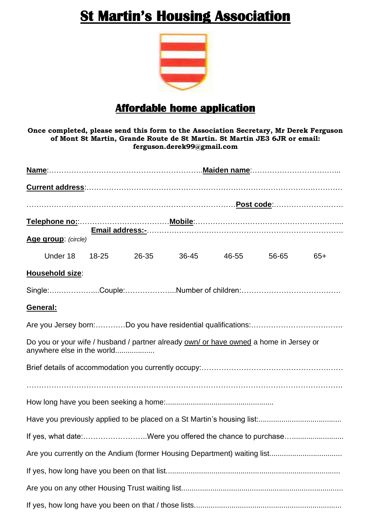## **St Martin's Housing Association**



## **Affordable home application**

**Once completed, please send this form to the Association Secretary, Mr Derek Ferguson of Mont St Martin, Grande Route de St Martin. St Martin JE3 6JR or email: ferguson.derek99@gmail.com**

| Age group: (circle)                                                                                                  |       |       |       |       |       |       |  |
|----------------------------------------------------------------------------------------------------------------------|-------|-------|-------|-------|-------|-------|--|
| Under 18                                                                                                             | 18-25 | 26-35 | 36-45 | 46-55 | 56-65 | $65+$ |  |
| Household size:                                                                                                      |       |       |       |       |       |       |  |
| Single:Couple:Number of children:                                                                                    |       |       |       |       |       |       |  |
| General:                                                                                                             |       |       |       |       |       |       |  |
|                                                                                                                      |       |       |       |       |       |       |  |
| Do you or your wife / husband / partner already own/ or have owned a home in Jersey or<br>anywhere else in the world |       |       |       |       |       |       |  |
|                                                                                                                      |       |       |       |       |       |       |  |
|                                                                                                                      |       |       |       |       |       |       |  |
|                                                                                                                      |       |       |       |       |       |       |  |
|                                                                                                                      |       |       |       |       |       |       |  |
| If yes, what date:Were you offered the chance to purchase                                                            |       |       |       |       |       |       |  |
|                                                                                                                      |       |       |       |       |       |       |  |
|                                                                                                                      |       |       |       |       |       |       |  |
|                                                                                                                      |       |       |       |       |       |       |  |
|                                                                                                                      |       |       |       |       |       |       |  |